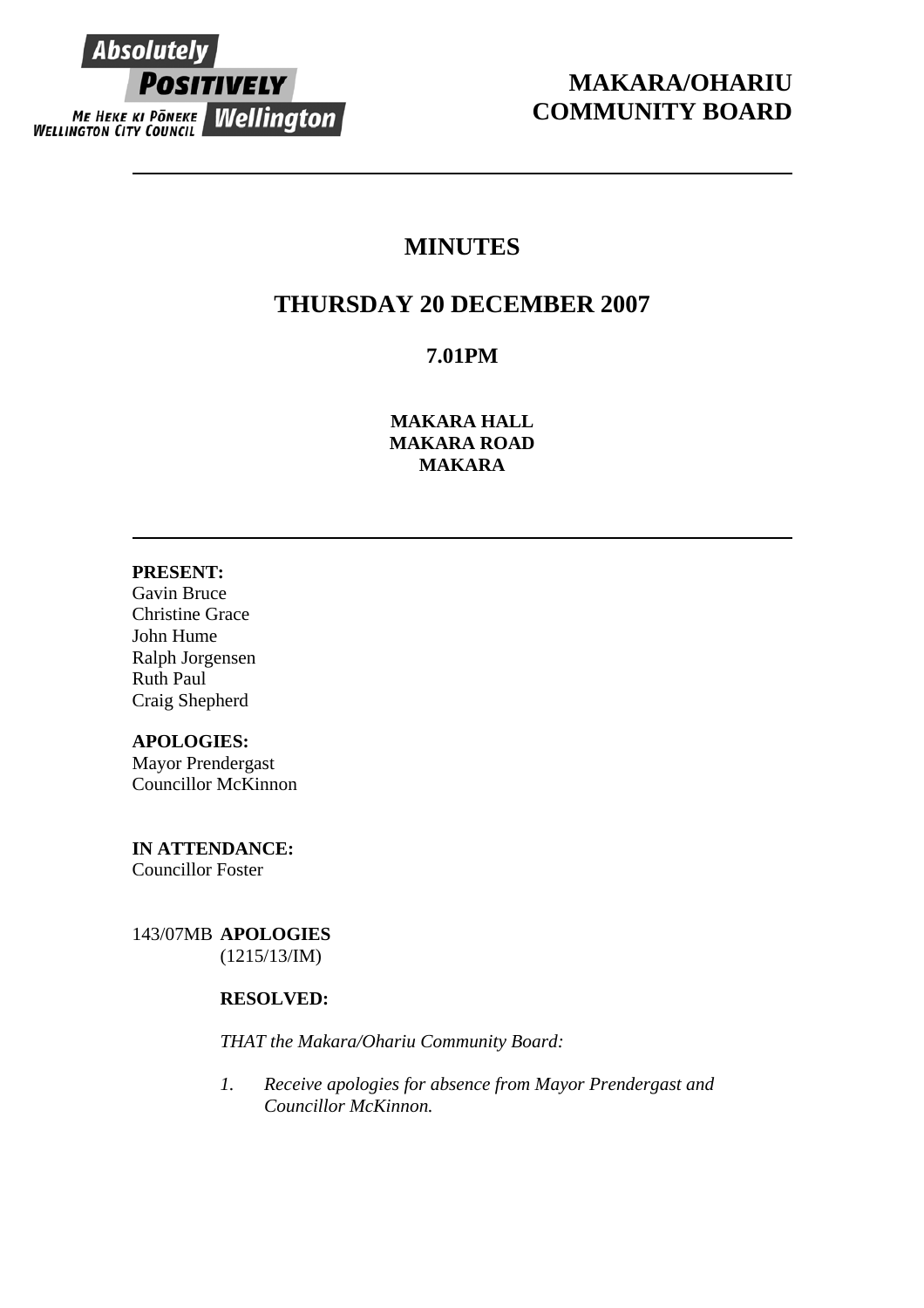

# **MAKARA/OHARIU COMMUNITY BOARD**

# **MINUTES**

# **THURSDAY 20 DECEMBER 2007**

## **7.01PM**

**MAKARA HALL MAKARA ROAD MAKARA** 

## **PRESENT:**

Gavin Bruce Christine Grace John Hume Ralph Jorgensen Ruth Paul Craig Shepherd

## **APOLOGIES:**

Mayor Prendergast Councillor McKinnon

**IN ATTENDANCE:**  Councillor Foster

143/07MB **APOLOGIES** (1215/13/IM)

## **RESOLVED:**

*THAT the Makara/Ohariu Community Board:* 

*1. Receive apologies for absence from Mayor Prendergast and Councillor McKinnon.*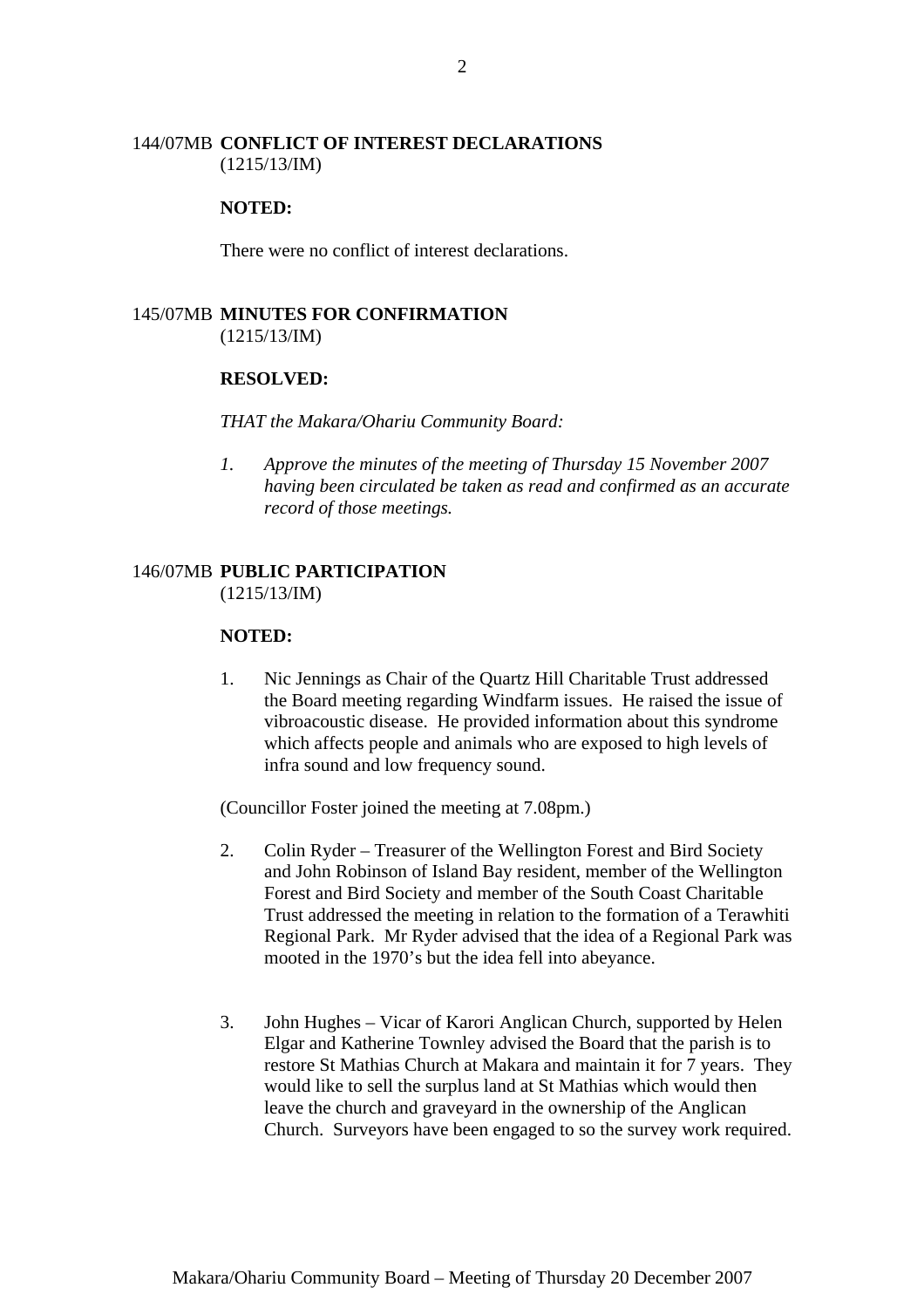#### 144/07MB **CONFLICT OF INTEREST DECLARATIONS** (1215/13/IM)

#### **NOTED:**

There were no conflict of interest declarations.

## 145/07MB **MINUTES FOR CONFIRMATION** (1215/13/IM)

#### **RESOLVED:**

#### *THAT the Makara/Ohariu Community Board:*

*1. Approve the minutes of the meeting of Thursday 15 November 2007 having been circulated be taken as read and confirmed as an accurate record of those meetings.* 

#### 146/07MB **PUBLIC PARTICIPATION**  (1215/13/IM)

#### **NOTED:**

1. Nic Jennings as Chair of the Quartz Hill Charitable Trust addressed the Board meeting regarding Windfarm issues. He raised the issue of vibroacoustic disease. He provided information about this syndrome which affects people and animals who are exposed to high levels of infra sound and low frequency sound.

(Councillor Foster joined the meeting at 7.08pm.)

- 2. Colin Ryder Treasurer of the Wellington Forest and Bird Society and John Robinson of Island Bay resident, member of the Wellington Forest and Bird Society and member of the South Coast Charitable Trust addressed the meeting in relation to the formation of a Terawhiti Regional Park. Mr Ryder advised that the idea of a Regional Park was mooted in the 1970's but the idea fell into abeyance.
- 3. John Hughes Vicar of Karori Anglican Church, supported by Helen Elgar and Katherine Townley advised the Board that the parish is to restore St Mathias Church at Makara and maintain it for 7 years. They would like to sell the surplus land at St Mathias which would then leave the church and graveyard in the ownership of the Anglican Church. Surveyors have been engaged to so the survey work required.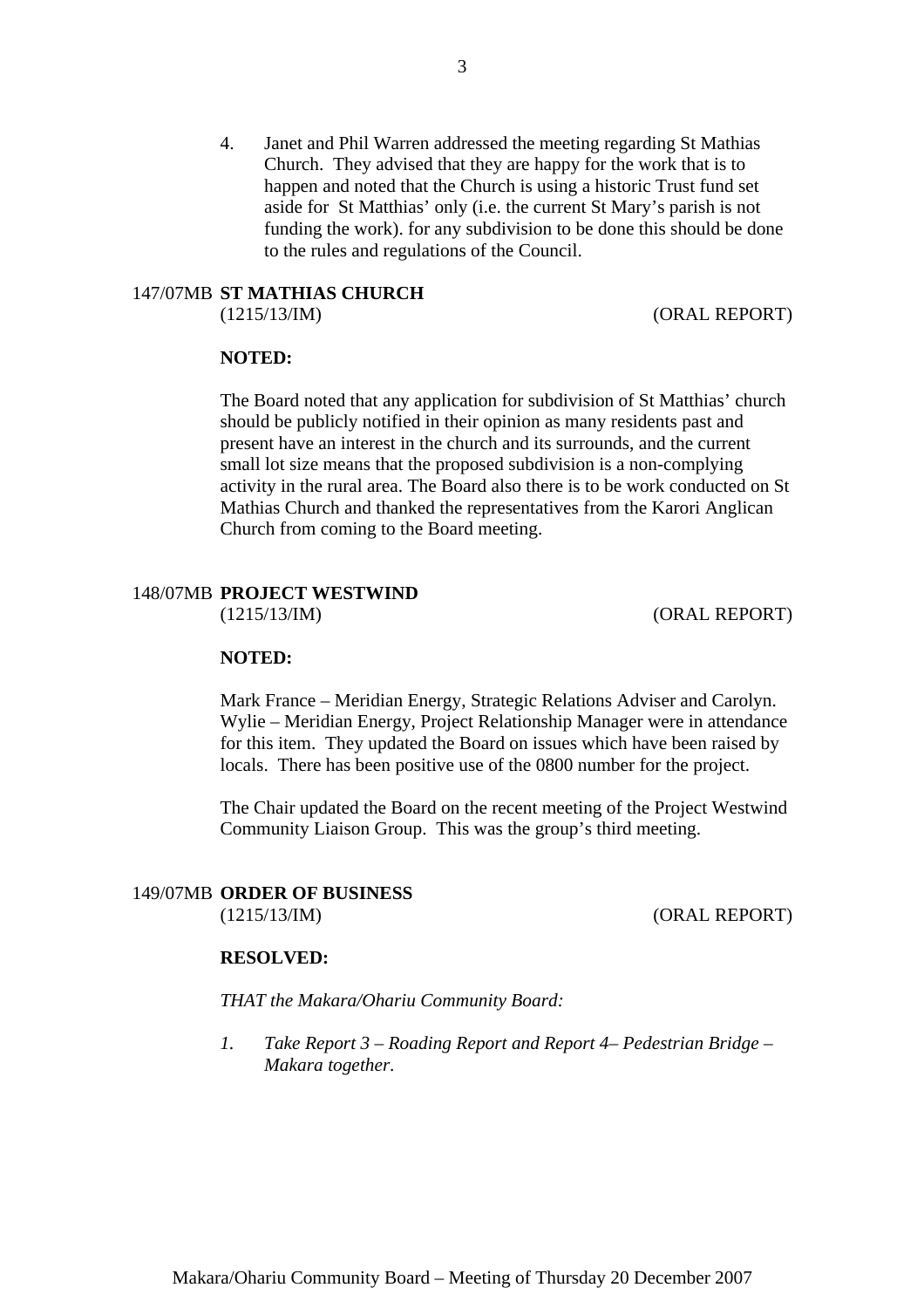4. Janet and Phil Warren addressed the meeting regarding St Mathias Church. They advised that they are happy for the work that is to happen and noted that the Church is using a historic Trust fund set aside for St Matthias' only (i.e. the current St Mary's parish is not funding the work). for any subdivision to be done this should be done to the rules and regulations of the Council.

# 147/07MB **ST MATHIAS CHURCH**

(1215/13/IM) (ORAL REPORT)

#### **NOTED:**

The Board noted that any application for subdivision of St Matthias' church should be publicly notified in their opinion as many residents past and present have an interest in the church and its surrounds, and the current small lot size means that the proposed subdivision is a non-complying activity in the rural area. The Board also there is to be work conducted on St Mathias Church and thanked the representatives from the Karori Anglican Church from coming to the Board meeting.

## 148/07MB **PROJECT WESTWIND**

(1215/13/IM) (ORAL REPORT)

#### **NOTED:**

Mark France – Meridian Energy, Strategic Relations Adviser and Carolyn. Wylie – Meridian Energy, Project Relationship Manager were in attendance for this item. They updated the Board on issues which have been raised by locals. There has been positive use of the 0800 number for the project.

The Chair updated the Board on the recent meeting of the Project Westwind Community Liaison Group. This was the group's third meeting.

#### 149/07MB **ORDER OF BUSINESS**

(1215/13/IM) (ORAL REPORT)

#### **RESOLVED:**

*THAT the Makara/Ohariu Community Board:* 

*1. Take Report 3 – Roading Report and Report 4– Pedestrian Bridge – Makara together.*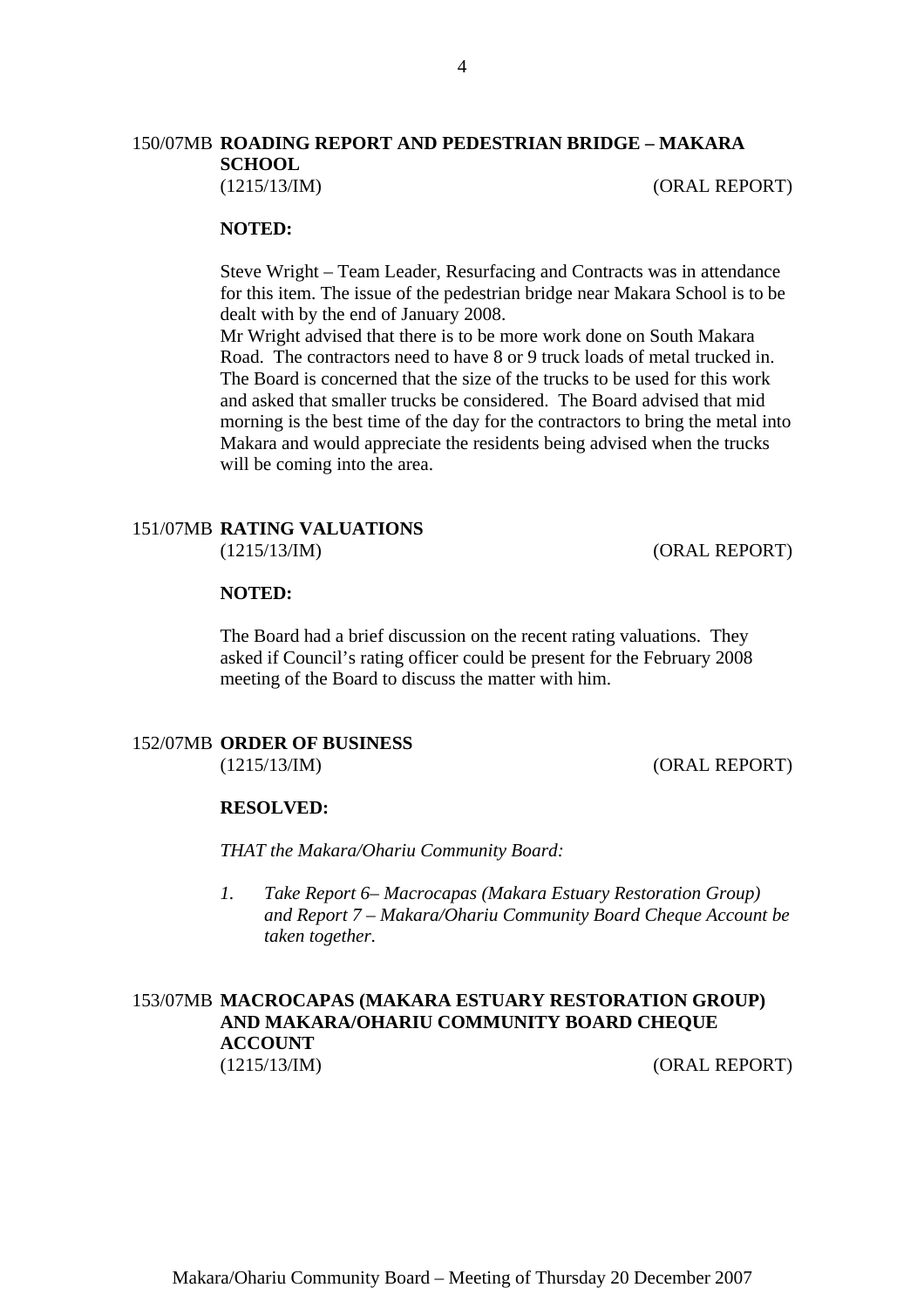## 150/07MB **ROADING REPORT AND PEDESTRIAN BRIDGE – MAKARA SCHOOL**

(1215/13/IM) (ORAL REPORT)

#### **NOTED:**

Steve Wright – Team Leader, Resurfacing and Contracts was in attendance for this item. The issue of the pedestrian bridge near Makara School is to be dealt with by the end of January 2008.

Mr Wright advised that there is to be more work done on South Makara Road. The contractors need to have 8 or 9 truck loads of metal trucked in. The Board is concerned that the size of the trucks to be used for this work and asked that smaller trucks be considered. The Board advised that mid morning is the best time of the day for the contractors to bring the metal into Makara and would appreciate the residents being advised when the trucks will be coming into the area.

#### 151/07MB **RATING VALUATIONS** (1215/13/IM) (ORAL REPORT)

#### **NOTED:**

The Board had a brief discussion on the recent rating valuations. They asked if Council's rating officer could be present for the February 2008 meeting of the Board to discuss the matter with him.

## 152/07MB **ORDER OF BUSINESS**

(1215/13/IM) (ORAL REPORT)

#### **RESOLVED:**

*THAT the Makara/Ohariu Community Board:* 

*1. Take Report 6– Macrocapas (Makara Estuary Restoration Group) and Report 7 – Makara/Ohariu Community Board Cheque Account be taken together.* 

## 153/07MB **MACROCAPAS (MAKARA ESTUARY RESTORATION GROUP) AND MAKARA/OHARIU COMMUNITY BOARD CHEQUE ACCOUNT** (1215/13/IM) (ORAL REPORT)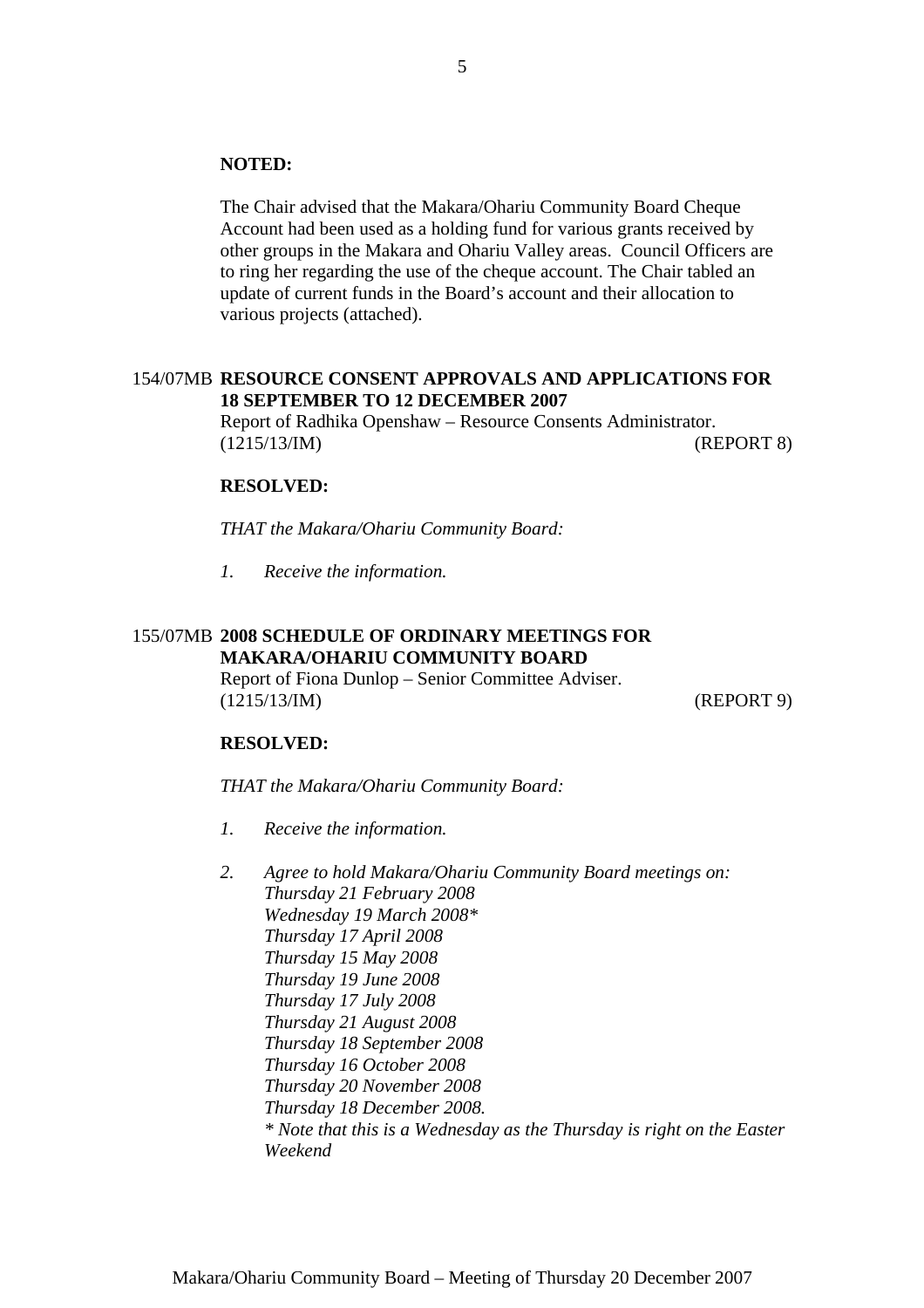#### **NOTED:**

The Chair advised that the Makara/Ohariu Community Board Cheque Account had been used as a holding fund for various grants received by other groups in the Makara and Ohariu Valley areas. Council Officers are to ring her regarding the use of the cheque account. The Chair tabled an update of current funds in the Board's account and their allocation to various projects (attached).

#### 154/07MB **RESOURCE CONSENT APPROVALS AND APPLICATIONS FOR 18 SEPTEMBER TO 12 DECEMBER 2007**

Report of Radhika Openshaw – Resource Consents Administrator. (1215/13/IM) (REPORT 8)

#### **RESOLVED:**

*THAT the Makara/Ohariu Community Board:* 

*1. Receive the information.*

## 155/07MB **2008 SCHEDULE OF ORDINARY MEETINGS FOR MAKARA/OHARIU COMMUNITY BOARD**

Report of Fiona Dunlop – Senior Committee Adviser. (1215/13/IM) (REPORT 9)

#### **RESOLVED:**

*THAT the Makara/Ohariu Community Board:* 

- *1. Receive the information.*
- *2. Agree to hold Makara/Ohariu Community Board meetings on: Thursday 21 February 2008 Wednesday 19 March 2008\* Thursday 17 April 2008 Thursday 15 May 2008 Thursday 19 June 2008 Thursday 17 July 2008 Thursday 21 August 2008 Thursday 18 September 2008 Thursday 16 October 2008 Thursday 20 November 2008 Thursday 18 December 2008. \* Note that this is a Wednesday as the Thursday is right on the Easter Weekend*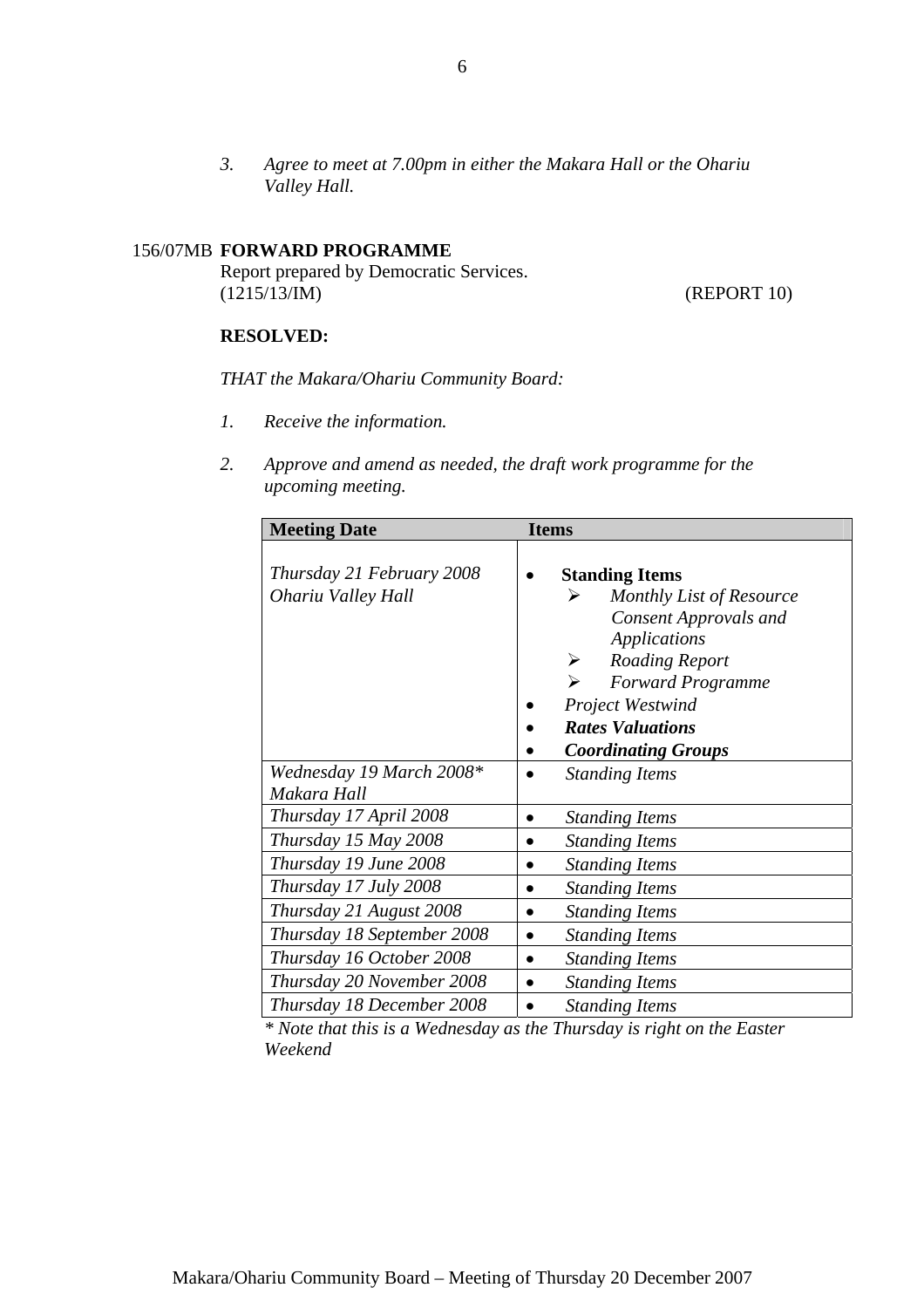*3. Agree to meet at 7.00pm in either the Makara Hall or the Ohariu Valley Hall.*

## 156/07MB **FORWARD PROGRAMME**

Report prepared by Democratic Services. (1215/13/IM) (REPORT 10)

## **RESOLVED:**

*THAT the Makara/Ohariu Community Board:* 

- *1. Receive the information.*
- *2. Approve and amend as needed, the draft work programme for the upcoming meeting.*

| <b>Meeting Date</b>        | <b>Items</b>                       |
|----------------------------|------------------------------------|
|                            |                                    |
| Thursday 21 February 2008  | <b>Standing Items</b>              |
| Ohariu Valley Hall         | Monthly List of Resource<br>➤      |
|                            | <b>Consent Approvals and</b>       |
|                            | <b>Applications</b>                |
|                            | <b>Roading Report</b><br>➤         |
|                            | <b>Forward Programme</b>           |
|                            | <b>Project Westwind</b>            |
|                            | <b>Rates Valuations</b>            |
|                            | <b>Coordinating Groups</b>         |
| Wednesday 19 March 2008*   | <b>Standing Items</b><br>$\bullet$ |
| Makara Hall                |                                    |
| Thursday 17 April 2008     | <b>Standing Items</b><br>$\bullet$ |
| Thursday 15 May 2008       | <b>Standing Items</b>              |
| Thursday 19 June 2008      | <b>Standing Items</b><br>$\bullet$ |
| Thursday 17 July 2008      | <b>Standing Items</b><br>$\bullet$ |
| Thursday 21 August 2008    | <b>Standing Items</b><br>$\bullet$ |
| Thursday 18 September 2008 | <b>Standing Items</b><br>$\bullet$ |
| Thursday 16 October 2008   | <b>Standing Items</b><br>$\bullet$ |
| Thursday 20 November 2008  | <b>Standing Items</b><br>$\bullet$ |
| Thursday 18 December 2008  | <b>Standing Items</b>              |

*\* Note that this is a Wednesday as the Thursday is right on the Easter Weekend*